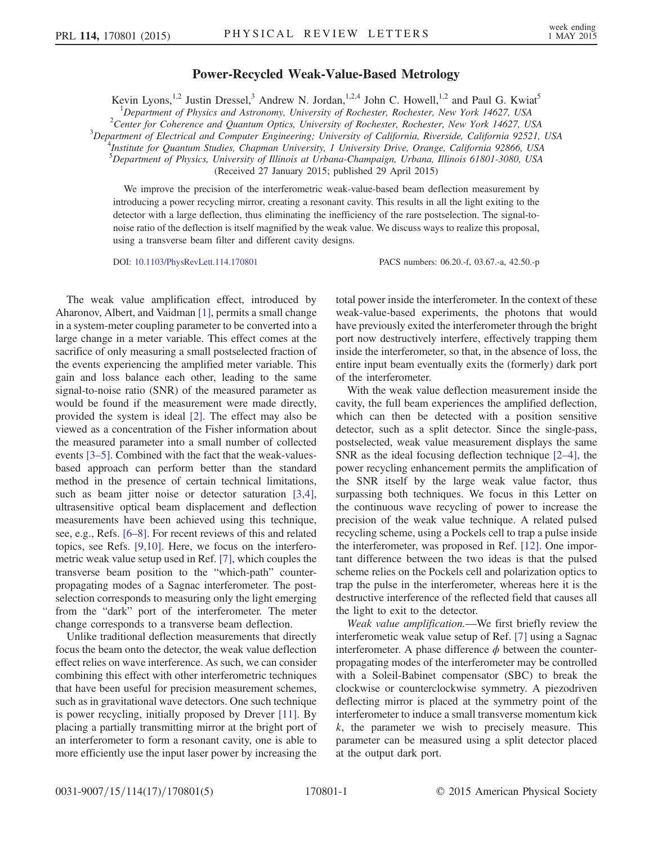## Power-Recycled Weak-Value-Based Metrology

Kevin Lyons,<sup>1,2</sup> Justin Dressel,<sup>3</sup> Andrew N. Jordan,<sup>1,2,4</sup> John C. Howell,<sup>1,2</sup> and Paul G. Kwiat<sup>5</sup>

<sup>1</sup>Department of Physics and Astronomy, University of Rochester, Rochester, New York 14627, USA<br><sup>2</sup>Center for Geherenes and Oventum Optics, University of Bookester, Bookester, New York 14627, U

 $2^2$ Center for Coherence and Quantum Optics, University of Rochester, Rochester, New York 14627, USA

 $3$ Department of Electrical and Computer Engineering; University of California, Riverside, California 92521, USA

Institute for Quantum Studies, Chapman University, 1 University Drive, Orange, California 92866, USA

<sup>5</sup>Department of Physics, University of Illinois at Urbana-Champaign, Urbana, Illinois 61801-3080, USA

(Received 27 January 2015; published 29 April 2015)

We improve the precision of the interferometric weak-value-based beam deflection measurement by introducing a power recycling mirror, creating a resonant cavity. This results in all the light exiting to the detector with a large deflection, thus eliminating the inefficiency of the rare postselection. The signal-tonoise ratio of the deflection is itself magnified by the weak value. We discuss ways to realize this proposal, using a transverse beam filter and different cavity designs.

DOI: [10.1103/PhysRevLett.114.170801](http://dx.doi.org/10.1103/PhysRevLett.114.170801) PACS numbers: 06.20.-f, 03.67.-a, 42.50.-p

The weak value amplification effect, introduced by Aharonov, Albert, and Vaidman [\[1\],](#page-4-0) permits a small change in a system-meter coupling parameter to be converted into a large change in a meter variable. This effect comes at the sacrifice of only measuring a small postselected fraction of the events experiencing the amplified meter variable. This gain and loss balance each other, leading to the same signal-to-noise ratio (SNR) of the measured parameter as would be found if the measurement were made directly, provided the system is ideal [\[2\]](#page-4-1). The effect may also be viewed as a concentration of the Fisher information about the measured parameter into a small number of collected events [\[3](#page-4-2)–5]. Combined with the fact that the weak-valuesbased approach can perform better than the standard method in the presence of certain technical limitations, such as beam jitter noise or detector saturation [\[3,4\]](#page-4-2), ultrasensitive optical beam displacement and deflection measurements have been achieved using this technique, see, e.g., Refs. [6–[8\].](#page-4-3) For recent reviews of this and related topics, see Refs. [\[9,10\]](#page-4-4). Here, we focus on the interferometric weak value setup used in Ref. [\[7\],](#page-4-5) which couples the transverse beam position to the "which-path" counterpropagating modes of a Sagnac interferometer. The postselection corresponds to measuring only the light emerging from the "dark" port of the interferometer. The meter change corresponds to a transverse beam deflection.

Unlike traditional deflection measurements that directly focus the beam onto the detector, the weak value deflection effect relies on wave interference. As such, we can consider combining this effect with other interferometric techniques that have been useful for precision measurement schemes, such as in gravitational wave detectors. One such technique is power recycling, initially proposed by Drever [\[11\]](#page-4-6). By placing a partially transmitting mirror at the bright port of an interferometer to form a resonant cavity, one is able to more efficiently use the input laser power by increasing the total power inside the interferometer. In the context of these weak-value-based experiments, the photons that would have previously exited the interferometer through the bright port now destructively interfere, effectively trapping them inside the interferometer, so that, in the absence of loss, the entire input beam eventually exits the (formerly) dark port of the interferometer.

With the weak value deflection measurement inside the cavity, the full beam experiences the amplified deflection, which can then be detected with a position sensitive detector, such as a split detector. Since the single-pass, postselected, weak value measurement displays the same SNR as the ideal focusing deflection technique [\[2](#page-4-1)–4], the power recycling enhancement permits the amplification of the SNR itself by the large weak value factor, thus surpassing both techniques. We focus in this Letter on the continuous wave recycling of power to increase the precision of the weak value technique. A related pulsed recycling scheme, using a Pockels cell to trap a pulse inside the interferometer, was proposed in Ref. [\[12\].](#page-4-7) One important difference between the two ideas is that the pulsed scheme relies on the Pockels cell and polarization optics to trap the pulse in the interferometer, whereas here it is the destructive interference of the reflected field that causes all the light to exit to the detector.

Weak value amplification.—We first briefly review the interferometic weak value setup of Ref. [\[7\]](#page-4-5) using a Sagnac interferometer. A phase difference  $\phi$  between the counterpropagating modes of the interferometer may be controlled with a Soleil-Babinet compensator (SBC) to break the clockwise or counterclockwise symmetry. A piezodriven deflecting mirror is placed at the symmetry point of the interferometer to induce a small transverse momentum kick  $k$ , the parameter we wish to precisely measure. This parameter can be measured using a split detector placed at the output dark port.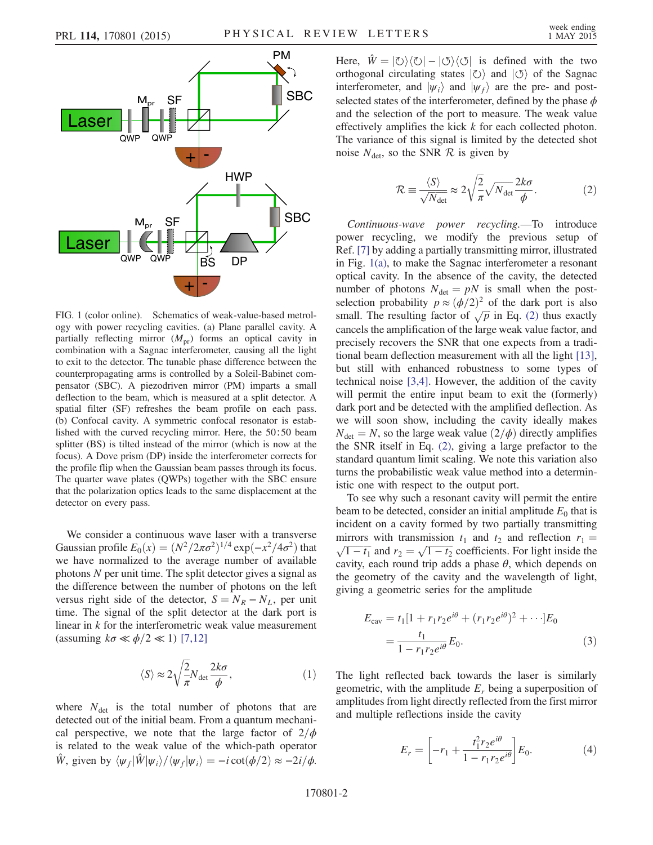<span id="page-1-0"></span>

FIG. 1 (color online). Schematics of weak-value-based metrology with power recycling cavities. (a) Plane parallel cavity. A partially reflecting mirror  $(M_{\text{pr}})$  forms an optical cavity in combination with a Sagnac interferometer, causing all the light to exit to the detector. The tunable phase difference between the counterpropagating arms is controlled by a Soleil-Babinet compensator (SBC). A piezodriven mirror (PM) imparts a small deflection to the beam, which is measured at a split detector. A spatial filter (SF) refreshes the beam profile on each pass. (b) Confocal cavity. A symmetric confocal resonator is established with the curved recycling mirror. Here, the 50∶50 beam splitter (BS) is tilted instead of the mirror (which is now at the focus). A Dove prism (DP) inside the interferometer corrects for the profile flip when the Gaussian beam passes through its focus. The quarter wave plates (QWPs) together with the SBC ensure that the polarization optics leads to the same displacement at the detector on every pass.

We consider a continuous wave laser with a transverse Gaussian profile  $E_0(x) = (N^2/2\pi\sigma^2)^{1/4} \exp(-x^2/4\sigma^2)$  that we have normalized to the average number of available photons N per unit time. The split detector gives a signal as the difference between the number of photons on the left versus right side of the detector,  $S = N_R - N_L$ , per unit time. The signal of the split detector at the dark port is linear in k for the interferometric weak value measurement (assuming  $k\sigma \ll \phi/2 \ll 1$ ) [\[7,12\]](#page-4-5)

$$
\langle S \rangle \approx 2 \sqrt{\frac{2}{\pi}} N_{\text{det}} \frac{2k\sigma}{\phi},\tag{1}
$$

<span id="page-1-2"></span>where  $N_{\text{det}}$  is the total number of photons that are detected out of the initial beam. From a quantum mechanical perspective, we note that the large factor of  $2/\phi$ is related to the weak value of the which-path operator  $\hat{W}$ , given by  $\langle \psi_f | \hat{W} | \psi_i \rangle / \langle \psi_f | \psi_i \rangle = -i \cot(\phi/2) \approx -2i/\phi$ .

Here,  $\hat{W} = |\mathbb{O}\rangle\langle\mathbb{O}| - |\mathbb{O}\rangle\langle\mathbb{O}|$  is defined with the two orthogonal circulating states  $|\circlearrowright\rangle$  and  $|\circlearrowleft\rangle$  of the Sagnac interferometer, and  $|\psi_i\rangle$  and  $|\psi_f\rangle$  are the pre- and postselected states of the interferometer, defined by the phase  $\phi$ and the selection of the port to measure. The weak value effectively amplifies the kick k for each collected photon. The variance of this signal is limited by the detected shot noise  $N_{\text{det}}$ , so the SNR  $\mathcal{R}$  is given by

<span id="page-1-1"></span>
$$
\mathcal{R} \equiv \frac{\langle S \rangle}{\sqrt{N_{\text{det}}}} \approx 2\sqrt{\frac{2}{\pi}} \sqrt{N_{\text{det}}}\frac{2k\sigma}{\phi}.
$$
 (2)

Continuous-wave power recycling.—To introduce power recycling, we modify the previous setup of Ref. [\[7\]](#page-4-5) by adding a partially transmitting mirror, illustrated in Fig. [1\(a\),](#page-1-0) to make the Sagnac interferometer a resonant optical cavity. In the absence of the cavity, the detected number of photons  $N_{\text{det}} = pN$  is small when the postselection probability  $p \approx (\phi/2)^2$  of the dark port is also small. The resulting factor of  $\sqrt{p}$  in Eq. [\(2\)](#page-1-1) thus exactly cancels the amplification of the large weak value factor, and precisely recovers the SNR that one expects from a traditional beam deflection measurement with all the light [\[13\]](#page-4-8), but still with enhanced robustness to some types of technical noise [\[3,4\].](#page-4-2) However, the addition of the cavity will permit the entire input beam to exit the (formerly) dark port and be detected with the amplified deflection. As we will soon show, including the cavity ideally makes  $N_{\text{det}} = N$ , so the large weak value  $\left(2/\phi\right)$  directly amplifies the SNR itself in Eq. [\(2\)](#page-1-1), giving a large prefactor to the standard quantum limit scaling. We note this variation also turns the probabilistic weak value method into a deterministic one with respect to the output port.

To see why such a resonant cavity will permit the entire beam to be detected, consider an initial amplitude  $E_0$  that is incident on a cavity formed by two partially transmitting mirrors with transmission  $t_1$  and  $t_2$  and reflection  $r_1 = \sqrt{1 - t_1}$  and  $r_2 = \sqrt{1 - t_2}$  coefficients. For light inside the cavity, each round trip adds a phase  $\theta$ , which depends on the geometry of the cavity and the wavelength of light, giving a geometric series for the amplitude

$$
E_{\text{cav}} = t_1[1 + r_1 r_2 e^{i\theta} + (r_1 r_2 e^{i\theta})^2 + \cdots]E_0
$$
  
= 
$$
\frac{t_1}{1 - r_1 r_2 e^{i\theta}} E_0.
$$
 (3)

The light reflected back towards the laser is similarly geometric, with the amplitude  $E_r$  being a superposition of amplitudes from light directly reflected from the first mirror and multiple reflections inside the cavity

$$
E_r = \left[ -r_1 + \frac{t_1^2 r_2 e^{i\theta}}{1 - r_1 r_2 e^{i\theta}} \right] E_0.
$$
 (4)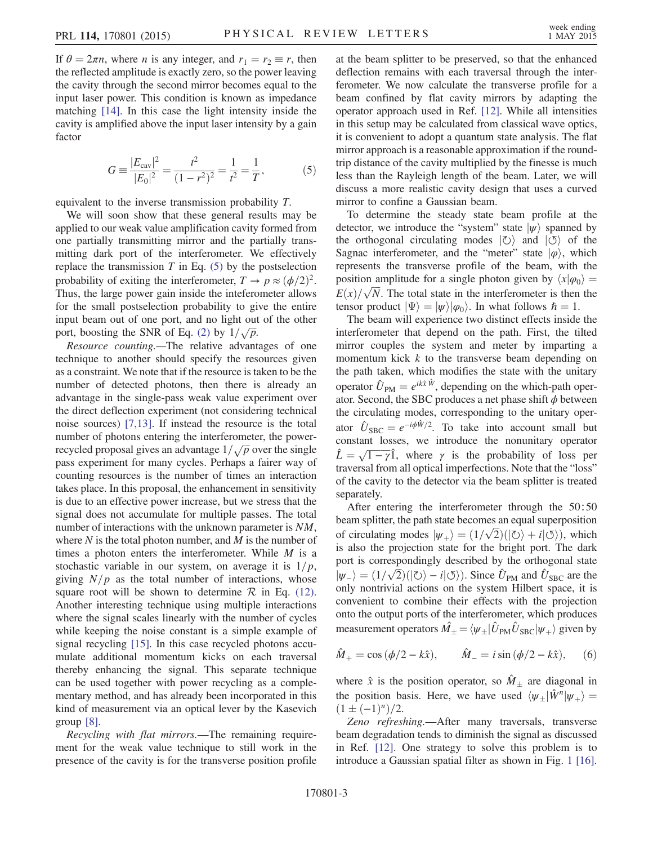If  $\theta = 2\pi n$ , where *n* is any integer, and  $r_1 = r_2 \equiv r$ , then the reflected amplitude is exactly zero, so the power leaving the cavity through the second mirror becomes equal to the input laser power. This condition is known as impedance matching [\[14\]](#page-4-9). In this case the light intensity inside the cavity is amplified above the input laser intensity by a gain factor

<span id="page-2-0"></span>
$$
G \equiv \frac{|E_{\text{cav}}|^2}{|E_0|^2} = \frac{t^2}{(1 - r^2)^2} = \frac{1}{t^2} = \frac{1}{T},\tag{5}
$$

equivalent to the inverse transmission probability T.

We will soon show that these general results may be applied to our weak value amplification cavity formed from one partially transmitting mirror and the partially transmitting dark port of the interferometer. We effectively replace the transmission  $T$  in Eq. [\(5\)](#page-2-0) by the postselection probability of exiting the interferometer,  $T \to p \approx (\phi/2)^2$ . Thus, the large power gain inside the inteferometer allows for the small postselection probability to give the entire input beam out of one port, and no light out of the other port, boosting the SNR of Eq. [\(2\)](#page-1-1) by  $1/\sqrt{p}$ .

Resource counting.—The relative advantages of one technique to another should specify the resources given as a constraint. We note that if the resource is taken to be the number of detected photons, then there is already an advantage in the single-pass weak value experiment over the direct deflection experiment (not considering technical noise sources) [\[7,13\]](#page-4-5). If instead the resource is the total number of photons entering the interferometer, the powerrecycled proposal gives an advantage  $1/\sqrt{p}$  over the single pass experiment for many cycles. Perhaps a fairer way of counting resources is the number of times an interaction takes place. In this proposal, the enhancement in sensitivity is due to an effective power increase, but we stress that the signal does not accumulate for multiple passes. The total number of interactions with the unknown parameter is NM, where  $N$  is the total photon number, and  $M$  is the number of times a photon enters the interferometer. While  $M$  is a stochastic variable in our system, on average it is  $1/p$ , giving  $N/p$  as the total number of interactions, whose square root will be shown to determine  $R$  in Eq. [\(12\)](#page-3-0). Another interesting technique using multiple interactions where the signal scales linearly with the number of cycles while keeping the noise constant is a simple example of signal recycling [\[15\]](#page-4-10). In this case recycled photons accumulate additional momentum kicks on each traversal thereby enhancing the signal. This separate technique can be used together with power recycling as a complementary method, and has already been incorporated in this kind of measurement via an optical lever by the Kasevich group [\[8\]](#page-4-11).

Recycling with flat mirrors.—The remaining requirement for the weak value technique to still work in the presence of the cavity is for the transverse position profile at the beam splitter to be preserved, so that the enhanced deflection remains with each traversal through the interferometer. We now calculate the transverse profile for a beam confined by flat cavity mirrors by adapting the operator approach used in Ref. [\[12\].](#page-4-7) While all intensities in this setup may be calculated from classical wave optics, it is convenient to adopt a quantum state analysis. The flat mirror approach is a reasonable approximation if the roundtrip distance of the cavity multiplied by the finesse is much less than the Rayleigh length of the beam. Later, we will discuss a more realistic cavity design that uses a curved mirror to confine a Gaussian beam.

To determine the steady state beam profile at the detector, we introduce the "system" state  $|\psi\rangle$  spanned by the orthogonal circulating modes  $|\circlearrowright\rangle$  and  $|\circlearrowleft\rangle$  of the Sagnac interferometer, and the "meter" state  $|\varphi\rangle$ , which represents the transverse profile of the beam, with the position amplitude for a single photon given by  $\langle x|\varphi_0\rangle =$  $E(x)/\sqrt{N}$ . The total state in the interferometer is then the tensor product  $|\Psi\rangle = |\psi\rangle |\varphi_0\rangle$ . In what follows  $\hbar = 1$ .

The beam will experience two distinct effects inside the interferometer that depend on the path. First, the tilted mirror couples the system and meter by imparting a momentum kick  $k$  to the transverse beam depending on the path taken, which modifies the state with the unitary operator  $\hat{U}_{PM} = e^{ik\hat{x}\hat{W}}$ , depending on the which-path operator. Second, the SBC produces a net phase shift  $\phi$  between the circulating modes, corresponding to the unitary operator  $\hat{U}_{\text{SBC}} = e^{-i\phi \hat{W}/2}$ . To take into account small but constant losses, we introduce the nonunitary operator  $\hat{L} = \sqrt{1 - \gamma} \hat{1}$ , where  $\gamma$  is the probability of loss per traversal from all optical imperfections. Note that the "loss" of the cavity to the detector via the beam splitter is treated separately.

After entering the interferometer through the 50∶50 beam splitter, the path state becomes an equal superposition of circulating modes  $|\psi_+\rangle = (1/\sqrt{2})(|\mathbb{O}\rangle + i|\mathbb{O}\rangle)$ , which is also the projection state for the bright port. The dark port is correspondingly described by the orthogonal state  $|\psi_-\rangle = (1/\sqrt{2})(|\circlearrowright\rangle - i|\circlearrowleft\rangle)$ . Since  $\hat{U}_{PM}$  and  $\hat{U}_{SBC}$  are the only nontrivial actions on the system Hilbert space, it is convenient to combine their effects with the projection onto the output ports of the interferometer, which produces measurement operators  $\hat{M_\pm} = \langle \psi_\pm | \hat{U}_{\rm PM} \hat{U}_{\rm SBC} | \psi_+ \rangle$  given by

$$
\hat{M}_{+} = \cos (\phi/2 - k\hat{x}), \qquad \hat{M}_{-} = i \sin (\phi/2 - k\hat{x}),
$$
 (6)

where  $\hat{x}$  is the position operator, so  $\hat{M}_{\pm}$  are diagonal in the position basis. Here, we have used  $\langle \psi_+|\hat{W}^n|\psi_+\rangle =$  $(1 \pm (-1)^n)/2.$ 

Zeno refreshing.—After many traversals, transverse beam degradation tends to diminish the signal as discussed in Ref. [\[12\].](#page-4-7) One strategy to solve this problem is to introduce a Gaussian spatial filter as shown in Fig. [1](#page-1-0) [\[16\]](#page-4-12).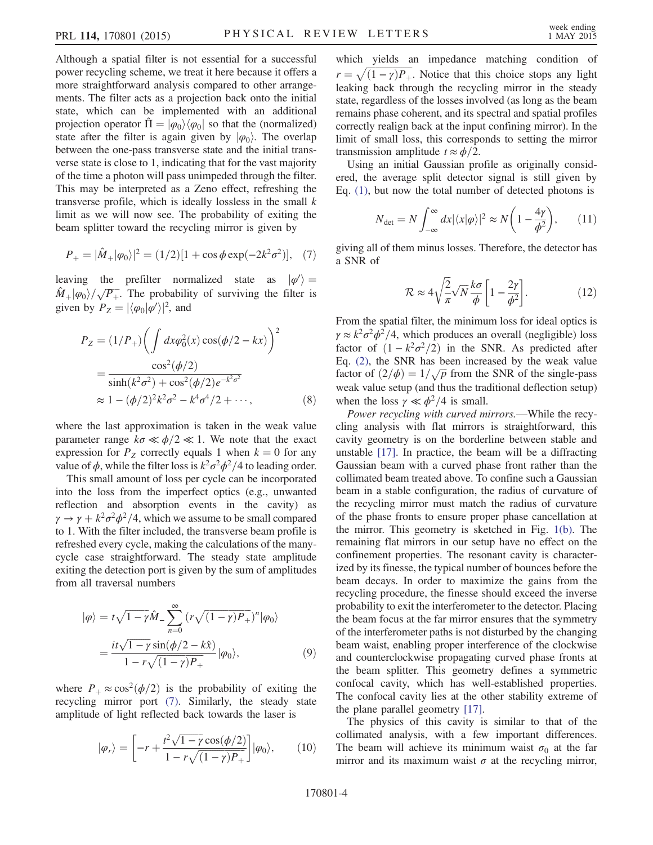Although a spatial filter is not essential for a successful power recycling scheme, we treat it here because it offers a more straightforward analysis compared to other arrangements. The filter acts as a projection back onto the initial state, which can be implemented with an additional projection operator  $\hat{\Pi} = |\varphi_0\rangle \langle \varphi_0|$  so that the (normalized) state after the filter is again given by  $|\varphi_0\rangle$ . The overlap between the one-pass transverse state and the initial transverse state is close to 1, indicating that for the vast majority of the time a photon will pass unimpeded through the filter. This may be interpreted as a Zeno effect, refreshing the transverse profile, which is ideally lossless in the small  $k$ limit as we will now see. The probability of exiting the beam splitter toward the recycling mirror is given by

<span id="page-3-1"></span>
$$
P_{+} = |\hat{M}_{+}|\varphi_{0}\rangle|^{2} = (1/2)[1 + \cos\phi \exp(-2k^{2}\sigma^{2})], \quad (7)
$$

leaving the prefilter normalized state as  $\ket{\varphi'} =$  $\hat{M}_+ |\varphi_0\rangle / \sqrt{P_+}$ . The probability of surviving the filter is given by  $P_Z = |\langle \varphi_0 | \varphi' \rangle|^2$ , and

$$
P_Z = (1/P_+) \left( \int dx \varphi_0^2(x) \cos(\phi/2 - kx) \right)^2
$$
  
= 
$$
\frac{\cos^2(\phi/2)}{\sinh(k^2 \sigma^2) + \cos^2(\phi/2) e^{-k^2 \sigma^2}}
$$
  
\approx 1 - (\phi/2)^2 k^2 \sigma^2 - k^4 \sigma^4/2 + \cdots, (8)

where the last approximation is taken in the weak value parameter range  $k\sigma \ll \phi/2 \ll 1$ . We note that the exact expression for  $P<sub>Z</sub>$  correctly equals 1 when  $k = 0$  for any value of  $\phi$ , while the filter loss is  $k^2\sigma^2\phi^2/4$  to leading order.

This small amount of loss per cycle can be incorporated into the loss from the imperfect optics (e.g., unwanted reflection and absorption events in the cavity) as  $\gamma \rightarrow \gamma + k^2 \sigma^2 \phi^2/4$ , which we assume to be small compared to 1. With the filter included, the transverse beam profile is refreshed every cycle, making the calculations of the manycycle case straightforward. The steady state amplitude exiting the detection port is given by the sum of amplitudes from all traversal numbers

$$
|\varphi\rangle = t\sqrt{1-\gamma}\hat{M}_{-}\sum_{n=0}^{\infty} (r\sqrt{(1-\gamma)P_{+}})^{n}|\varphi_{0}\rangle
$$
  
= 
$$
\frac{it\sqrt{1-\gamma}\sin(\phi/2 - k\hat{x})}{1-r\sqrt{(1-\gamma)P_{+}}}|\varphi_{0}\rangle,
$$
 (9)

where  $P_+ \approx \cos^2(\phi/2)$  is the probability of exiting the recycling mirror port [\(7\)](#page-3-1). Similarly, the steady state amplitude of light reflected back towards the laser is

$$
|\varphi_r\rangle = \left[ -r + \frac{t^2 \sqrt{1-\gamma} \cos(\phi/2)}{1 - r \sqrt{(1-\gamma)P_+}} \right] |\varphi_0\rangle, \qquad (10)
$$

which yields an impedance matching condition of  $r = \sqrt{(1 - \gamma)P_+}$ . Notice that this choice stops any light leaking back through the recycling mirror in the steady state, regardless of the losses involved (as long as the beam remains phase coherent, and its spectral and spatial profiles correctly realign back at the input confining mirror). In the limit of small loss, this corresponds to setting the mirror transmission amplitude  $t \approx \phi/2$ .

Using an initial Gaussian profile as originally considered, the average split detector signal is still given by Eq. [\(1\),](#page-1-2) but now the total number of detected photons is

$$
N_{\text{det}} = N \int_{-\infty}^{\infty} dx |\langle x | \varphi \rangle|^2 \approx N \left( 1 - \frac{4\gamma}{\phi^2} \right), \qquad (11)
$$

<span id="page-3-0"></span>giving all of them minus losses. Therefore, the detector has a SNR of

$$
\mathcal{R} \approx 4\sqrt{\frac{2}{\pi}}\sqrt{N}\frac{k\sigma}{\phi} \left[1 - \frac{2\gamma}{\phi^2}\right].
$$
 (12)

From the spatial filter, the minimum loss for ideal optics is  $\gamma \approx k^2 \sigma^2 \phi^2/4$ , which produces an overall (negligible) loss factor of  $(1 - k^2 \sigma^2/2)$  in the SNR. As predicted after Eq. [\(2\),](#page-1-1) the SNR has been increased by the weak value factor of  $\left(2/\phi\right) = 1/\sqrt{p}$  from the SNR of the single-pass weak value setup (and thus the traditional deflection setup) when the loss  $\gamma \ll \phi^2/4$  is small.

Power recycling with curved mirrors.—While the recycling analysis with flat mirrors is straightforward, this cavity geometry is on the borderline between stable and unstable [\[17\]](#page-4-13). In practice, the beam will be a diffracting Gaussian beam with a curved phase front rather than the collimated beam treated above. To confine such a Gaussian beam in a stable configuration, the radius of curvature of the recycling mirror must match the radius of curvature of the phase fronts to ensure proper phase cancellation at the mirror. This geometry is sketched in Fig. [1\(b\).](#page-1-0) The remaining flat mirrors in our setup have no effect on the confinement properties. The resonant cavity is characterized by its finesse, the typical number of bounces before the beam decays. In order to maximize the gains from the recycling procedure, the finesse should exceed the inverse probability to exit the interferometer to the detector. Placing the beam focus at the far mirror ensures that the symmetry of the interferometer paths is not disturbed by the changing beam waist, enabling proper interference of the clockwise and counterclockwise propagating curved phase fronts at the beam splitter. This geometry defines a symmetric confocal cavity, which has well-established properties. The confocal cavity lies at the other stability extreme of the plane parallel geometry [\[17\]](#page-4-13).

The physics of this cavity is similar to that of the collimated analysis, with a few important differences. The beam will achieve its minimum waist  $\sigma_0$  at the far mirror and its maximum waist  $\sigma$  at the recycling mirror,